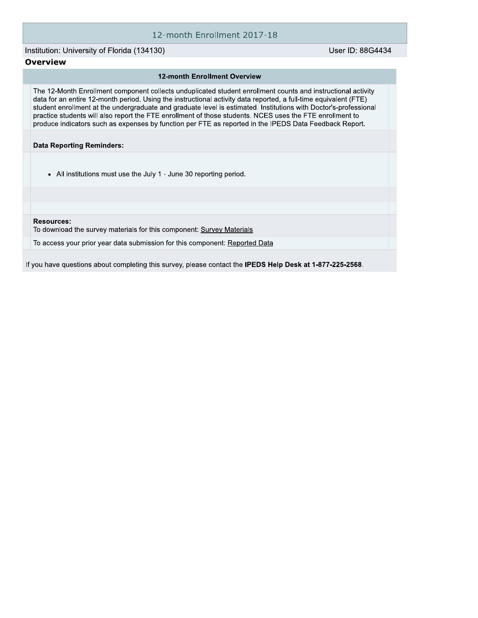### 12-month Enrollment 2017-18

Institution: University of Florida (134130)

User ID: 88G4434

### **Overview**

#### **12-month Enrollment Overview**

The 12-Month Enrollment component collects unduplicated student enrollment counts and instructional activity data for an entire 12-month period. Using the instructional activity data reported, a full-time equivalent (FTE) student enrollment at the undergraduate and graduate level is estimated. Institutions with Doctor's-professional practice students will also report the FTE enrollment of those students. NCES uses the FTE enrollment to produce indicators such as expenses by function per FTE as reported in the IPEDS Data Feedback Report.

**Data Reporting Reminders:** 

• All institutions must use the July 1 - June 30 reporting period.

**Resources:** 

To download the survey materials for this component: Survey Materials

To access your prior year data submission for this component: Reported Data

If you have questions about completing this survey, please contact the IPEDS Help Desk at 1-877-225-2568.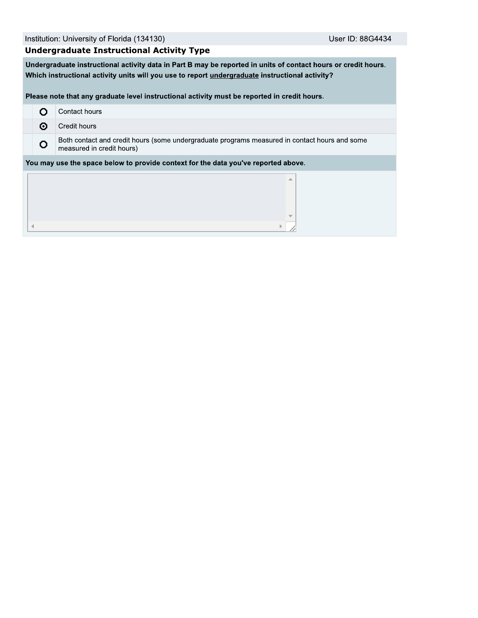# **Undergraduate Instructional Activity Type**

Undergraduate instructional activity data in Part B may be reported in units of contact hours or credit hours. Which instructional activity units will you use to report undergraduate instructional activity?

Please note that any graduate level instructional activity must be reported in credit hours.

|                                                                                    | Contact hours                                                                                                              |  |  |  |  |  |
|------------------------------------------------------------------------------------|----------------------------------------------------------------------------------------------------------------------------|--|--|--|--|--|
| ⊙                                                                                  | Credit hours                                                                                                               |  |  |  |  |  |
| O                                                                                  | Both contact and credit hours (some undergraduate programs measured in contact hours and some<br>measured in credit hours) |  |  |  |  |  |
| You may use the space below to provide context for the data you've reported above. |                                                                                                                            |  |  |  |  |  |
|                                                                                    | ▲                                                                                                                          |  |  |  |  |  |
|                                                                                    |                                                                                                                            |  |  |  |  |  |
|                                                                                    | $\overline{\phantom{a}}$                                                                                                   |  |  |  |  |  |
|                                                                                    |                                                                                                                            |  |  |  |  |  |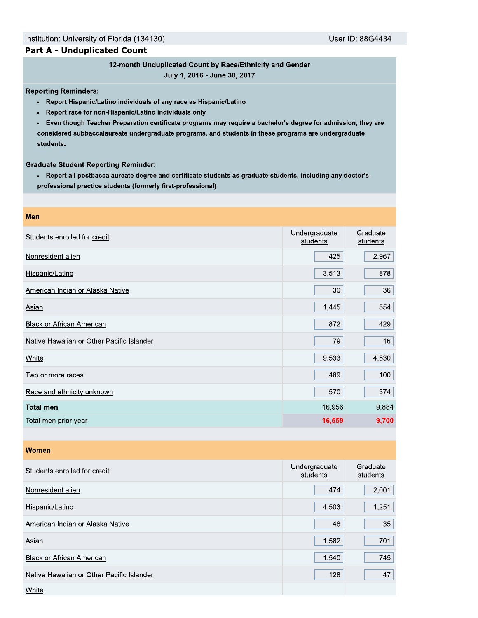### **Part A - Unduplicated Count**

# 12-month Unduplicated Count by Race/Ethnicity and Gender

July 1, 2016 - June 30, 2017

**Reporting Reminders:** 

- Report Hispanic/Latino individuals of any race as Hispanic/Latino
- Report race for non-Hispanic/Latino individuals only
- Even though Teacher Preparation certificate programs may require a bachelor's degree for admission, they are considered subbaccalaureate undergraduate programs, and students in these programs are undergraduate students.

**Graduate Student Reporting Reminder:** 

. Report all postbaccalaureate degree and certificate students as graduate students, including any doctor'sprofessional practice students (formerly first-professional)

| Men                                       |                           |                      |
|-------------------------------------------|---------------------------|----------------------|
| Students enrolled for credit              | Undergraduate<br>students | Graduate<br>students |
| Nonresident alien                         | 425                       | 2,967                |
| Hispanic/Latino                           | 3,513                     | 878                  |
| American Indian or Alaska Native          | 30                        | 36                   |
| Asian                                     | 1,445                     | 554                  |
| <b>Black or African American</b>          | 872                       | 429                  |
| Native Hawaiian or Other Pacific Islander | 79                        | 16                   |
| <b>White</b>                              | 9,533                     | 4,530                |
| Two or more races                         | 489                       | 100                  |
| Race and ethnicity unknown                | 570                       | 374                  |
| <b>Total men</b>                          | 16,956                    | 9,884                |
| Total men prior year                      | 16,559                    | 9,700                |
|                                           |                           |                      |
| <b>Women</b>                              |                           |                      |
| Students enrolled for credit              | Undergraduate<br>students | Graduate<br>students |
|                                           |                           |                      |

| Nonresident alien                         | 474   | 2,001 |
|-------------------------------------------|-------|-------|
| Hispanic/Latino                           | 4,503 | 1,251 |
| American Indian or Alaska Native          | 48    | 35    |
| Asian                                     | 1,582 | 701   |
| <b>Black or African American</b>          | 1,540 | 745   |
| Native Hawaiian or Other Pacific Islander | 128   | 47    |
| White                                     |       |       |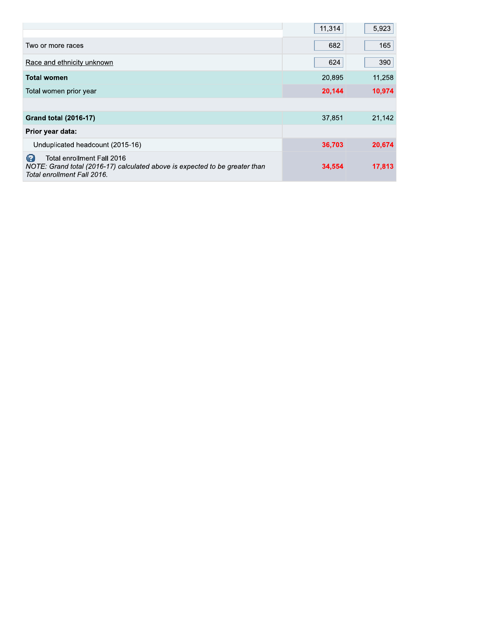|                                                                                                                                                | 11,314 | 5,923  |
|------------------------------------------------------------------------------------------------------------------------------------------------|--------|--------|
| Two or more races                                                                                                                              | 682    | 165    |
| Race and ethnicity unknown                                                                                                                     | 624    | 390    |
| <b>Total women</b>                                                                                                                             | 20,895 | 11,258 |
| Total women prior year                                                                                                                         | 20,144 | 10,974 |
|                                                                                                                                                |        |        |
| <b>Grand total (2016-17)</b>                                                                                                                   | 37,851 | 21,142 |
| Prior year data:                                                                                                                               |        |        |
| Unduplicated headcount (2015-16)                                                                                                               | 36,703 | 20,674 |
| 12<br>Total enrollment Fall 2016<br>NOTE: Grand total (2016-17) calculated above is expected to be greater than<br>Total enrollment Fall 2016. | 34,554 | 17,813 |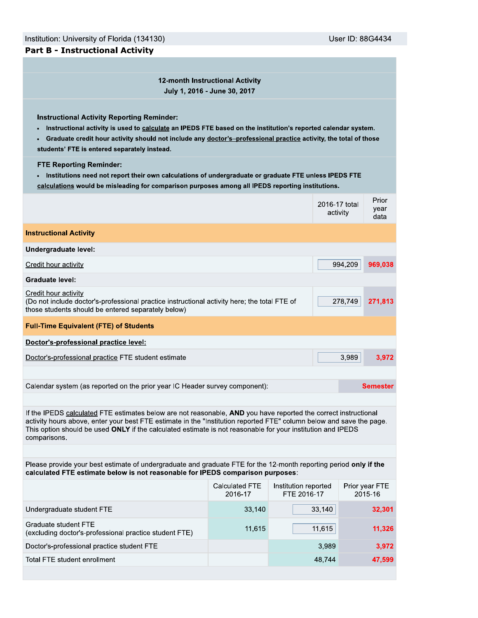User ID: 88G4434

12-month Instructional Activity July 1, 2016 - June 30, 2017

**Instructional Activity Reporting Reminder:** 

- . Instructional activity is used to calculate an IPEDS FTE based on the institution's reported calendar system.
- Graduate credit hour activity should not include any doctor's-professional practice activity, the total of those  $\bullet$ students' FTE is entered separately instead.

**FTE Reporting Reminder:** 

. Institutions need not report their own calculations of undergraduate or graduate FTE unless IPEDS FTE calculations would be misleading for comparison purposes among all IPEDS reporting institutions.

|                                                                                                                                                                                                                                                                                                                                                                        |                                  |                                     | 2016-17 total<br>activity | Prior<br>year<br>data     |  |  |
|------------------------------------------------------------------------------------------------------------------------------------------------------------------------------------------------------------------------------------------------------------------------------------------------------------------------------------------------------------------------|----------------------------------|-------------------------------------|---------------------------|---------------------------|--|--|
| <b>Instructional Activity</b>                                                                                                                                                                                                                                                                                                                                          |                                  |                                     |                           |                           |  |  |
| Undergraduate level:                                                                                                                                                                                                                                                                                                                                                   |                                  |                                     |                           |                           |  |  |
| Credit hour activity                                                                                                                                                                                                                                                                                                                                                   |                                  | 994,209                             | 969,038                   |                           |  |  |
| <b>Graduate level:</b>                                                                                                                                                                                                                                                                                                                                                 |                                  |                                     |                           |                           |  |  |
| Credit hour activity<br>(Do not include doctor's-professional practice instructional activity here; the total FTE of<br>those students should be entered separately below)                                                                                                                                                                                             |                                  | 278,749                             | 271,813                   |                           |  |  |
| <b>Full-Time Equivalent (FTE) of Students</b>                                                                                                                                                                                                                                                                                                                          |                                  |                                     |                           |                           |  |  |
| Doctor's-professional practice level:                                                                                                                                                                                                                                                                                                                                  |                                  |                                     |                           |                           |  |  |
| Doctor's-professional practice FTE student estimate                                                                                                                                                                                                                                                                                                                    |                                  |                                     | 3.989                     | 3,972                     |  |  |
|                                                                                                                                                                                                                                                                                                                                                                        |                                  |                                     |                           |                           |  |  |
| Calendar system (as reported on the prior year IC Header survey component):                                                                                                                                                                                                                                                                                            |                                  |                                     |                           | <b>Semester</b>           |  |  |
|                                                                                                                                                                                                                                                                                                                                                                        |                                  |                                     |                           |                           |  |  |
| If the IPEDS calculated FTE estimates below are not reasonable, AND you have reported the correct instructional<br>activity hours above, enter your best FTE estimate in the "Institution reported FTE" column below and save the page.<br>This option should be used ONLY if the calculated estimate is not reasonable for your institution and IPEDS<br>comparisons. |                                  |                                     |                           |                           |  |  |
|                                                                                                                                                                                                                                                                                                                                                                        |                                  |                                     |                           |                           |  |  |
| Please provide your best estimate of undergraduate and graduate FTE for the 12-month reporting period only if the<br>calculated FTE estimate below is not reasonable for IPEDS comparison purposes:                                                                                                                                                                    |                                  |                                     |                           |                           |  |  |
|                                                                                                                                                                                                                                                                                                                                                                        | <b>Calculated FTE</b><br>2016-17 | Institution reported<br>FTE 2016-17 |                           | Prior year FTE<br>2015-16 |  |  |
| Undergraduate student FTE                                                                                                                                                                                                                                                                                                                                              | 33,140                           |                                     | 33,140                    | 32,301                    |  |  |
| <b>Graduate student FTE</b><br>(excluding doctor's-professional practice student FTE)                                                                                                                                                                                                                                                                                  | 11,615                           |                                     | 11,615                    | 11,326                    |  |  |
| Doctor's-professional practice student FTE                                                                                                                                                                                                                                                                                                                             |                                  |                                     | 3,989                     | 3,972                     |  |  |
| Total FTE student enrollment                                                                                                                                                                                                                                                                                                                                           |                                  |                                     | 48,744                    | 47,599                    |  |  |
|                                                                                                                                                                                                                                                                                                                                                                        |                                  |                                     |                           |                           |  |  |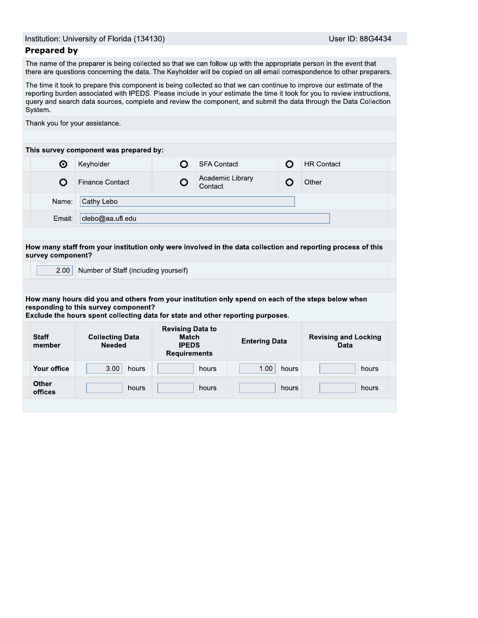### Prepared by

Institution: University of Florida<br> **Prepared by**<br>
The name of the preparer is being<br>
there are questions concerning the<br>
The time it took to prepare this core<br>
reporting burden associated with I<br>
query and search data sou Us<br>
can follow up with the appropriate person in the<br>
ir will be copied on all email correspondence to<br>
ected so that we can continue to improve our<br>
ie in your estimate the time it took for you to re<br>
ie component, and su ent is being collected so that we can continu<br>reporting burden associated with IPEDS. Please include in your estimate the time it took for you to review instructions, query and search data sources, complete and review the component, and submit the data through the Data Collectior

| Institution: University of Florida (134130) |                                                                                                                                                                                                                                                                       |                                                                                |                             |                      |       | User ID: 88G4434                                                                                                                                                                                                                                                                                                                                                      |  |
|---------------------------------------------|-----------------------------------------------------------------------------------------------------------------------------------------------------------------------------------------------------------------------------------------------------------------------|--------------------------------------------------------------------------------|-----------------------------|----------------------|-------|-----------------------------------------------------------------------------------------------------------------------------------------------------------------------------------------------------------------------------------------------------------------------------------------------------------------------------------------------------------------------|--|
| <b>Prepared by</b>                          |                                                                                                                                                                                                                                                                       |                                                                                |                             |                      |       |                                                                                                                                                                                                                                                                                                                                                                       |  |
|                                             | The name of the preparer is being collected so that we can follow up with the appropriate person in the event that                                                                                                                                                    |                                                                                |                             |                      |       | there are questions concerning the data. The Keyholder will be copied on all email correspondence to other preparers.                                                                                                                                                                                                                                                 |  |
| System.                                     |                                                                                                                                                                                                                                                                       |                                                                                |                             |                      |       | The time it took to prepare this component is being collected so that we can continue to improve our estimate of the<br>reporting burden associated with IPEDS. Please include in your estimate the time it took for you to review instructions,<br>query and search data sources, complete and review the component, and submit the data through the Data Collection |  |
|                                             | Thank you for your assistance.                                                                                                                                                                                                                                        |                                                                                |                             |                      |       |                                                                                                                                                                                                                                                                                                                                                                       |  |
|                                             | This survey component was prepared by:                                                                                                                                                                                                                                |                                                                                |                             |                      |       |                                                                                                                                                                                                                                                                                                                                                                       |  |
| ⊙                                           | Keyholder                                                                                                                                                                                                                                                             | O                                                                              | <b>SFA Contact</b>          |                      | Ο     | <b>HR Contact</b>                                                                                                                                                                                                                                                                                                                                                     |  |
| Ο                                           | <b>Finance Contact</b>                                                                                                                                                                                                                                                | o                                                                              | Academic Library<br>Contact |                      | О     | Other                                                                                                                                                                                                                                                                                                                                                                 |  |
| Name:                                       | Cathy Lebo                                                                                                                                                                                                                                                            |                                                                                |                             |                      |       |                                                                                                                                                                                                                                                                                                                                                                       |  |
| Email:                                      | clebo@aa.ufl.edu                                                                                                                                                                                                                                                      |                                                                                |                             |                      |       |                                                                                                                                                                                                                                                                                                                                                                       |  |
|                                             |                                                                                                                                                                                                                                                                       |                                                                                |                             |                      |       |                                                                                                                                                                                                                                                                                                                                                                       |  |
| 2.00                                        | Number of Staff (including yourself)<br>How many hours did you and others from your institution only spend on each of the steps below when<br>responding to this survey component?<br>Exclude the hours spent collecting data for state and other reporting purposes. |                                                                                |                             |                      |       | How many staff from your institution only were involved in the data collection and reporting process of this                                                                                                                                                                                                                                                          |  |
| <b>Staff</b><br>member                      | <b>Collecting Data</b><br><b>Needed</b>                                                                                                                                                                                                                               | <b>Revising Data to</b><br><b>Match</b><br><b>IPEDS</b><br><b>Requirements</b> |                             | <b>Entering Data</b> |       | <b>Revising and Locking</b><br>Data                                                                                                                                                                                                                                                                                                                                   |  |
| survey component?<br><b>Your office</b>     | 3.00<br>hours                                                                                                                                                                                                                                                         |                                                                                | hours                       | 1.00                 | hours | hours                                                                                                                                                                                                                                                                                                                                                                 |  |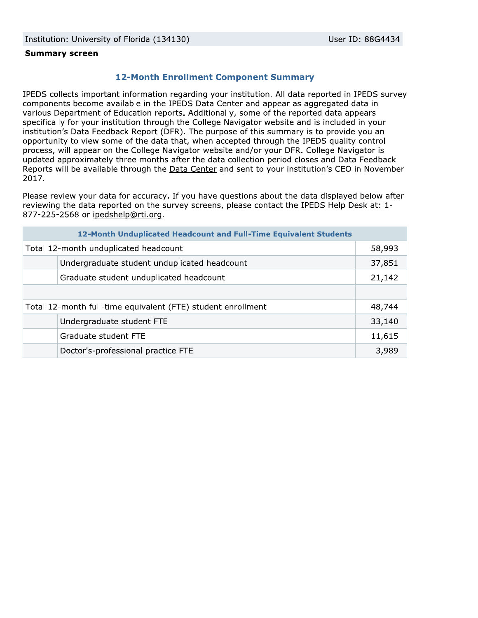### **Summary screen**

## **12-Month Enrollment Component Summary**

IPEDS collects important information regarding your institution. All data reported in IPEDS survey components become available in the IPEDS Data Center and appear as aggregated data in various Department of Education reports. Additionally, some of the reported data appears specifically for your institution through the College Navigator website and is included in your institution's Data Feedback Report (DFR). The purpose of this summary is to provide you an opportunity to view some of the data that, when accepted through the IPEDS quality control process, will appear on the College Navigator website and/or your DFR. College Navigator is updated approximately three months after the data collection period closes and Data Feedback Reports will be available through the Data Center and sent to your institution's CEO in November 2017.

Please review your data for accuracy. If you have questions about the data displayed below after reviewing the data reported on the survey screens, please contact the IPEDS Help Desk at: 1-877-225-2568 or ipedshelp@rti.org.

| 12-Month Unduplicated Headcount and Full-Time Equivalent Students |                                              |        |  |  |
|-------------------------------------------------------------------|----------------------------------------------|--------|--|--|
| Total 12-month unduplicated headcount                             |                                              |        |  |  |
|                                                                   | Undergraduate student unduplicated headcount | 37,851 |  |  |
|                                                                   | Graduate student unduplicated headcount      | 21,142 |  |  |
|                                                                   |                                              |        |  |  |
| Total 12-month full-time equivalent (FTE) student enrollment      |                                              |        |  |  |
|                                                                   | Undergraduate student FTE                    | 33,140 |  |  |
|                                                                   | Graduate student FTE                         | 11,615 |  |  |
|                                                                   | Doctor's-professional practice FTE           | 3,989  |  |  |